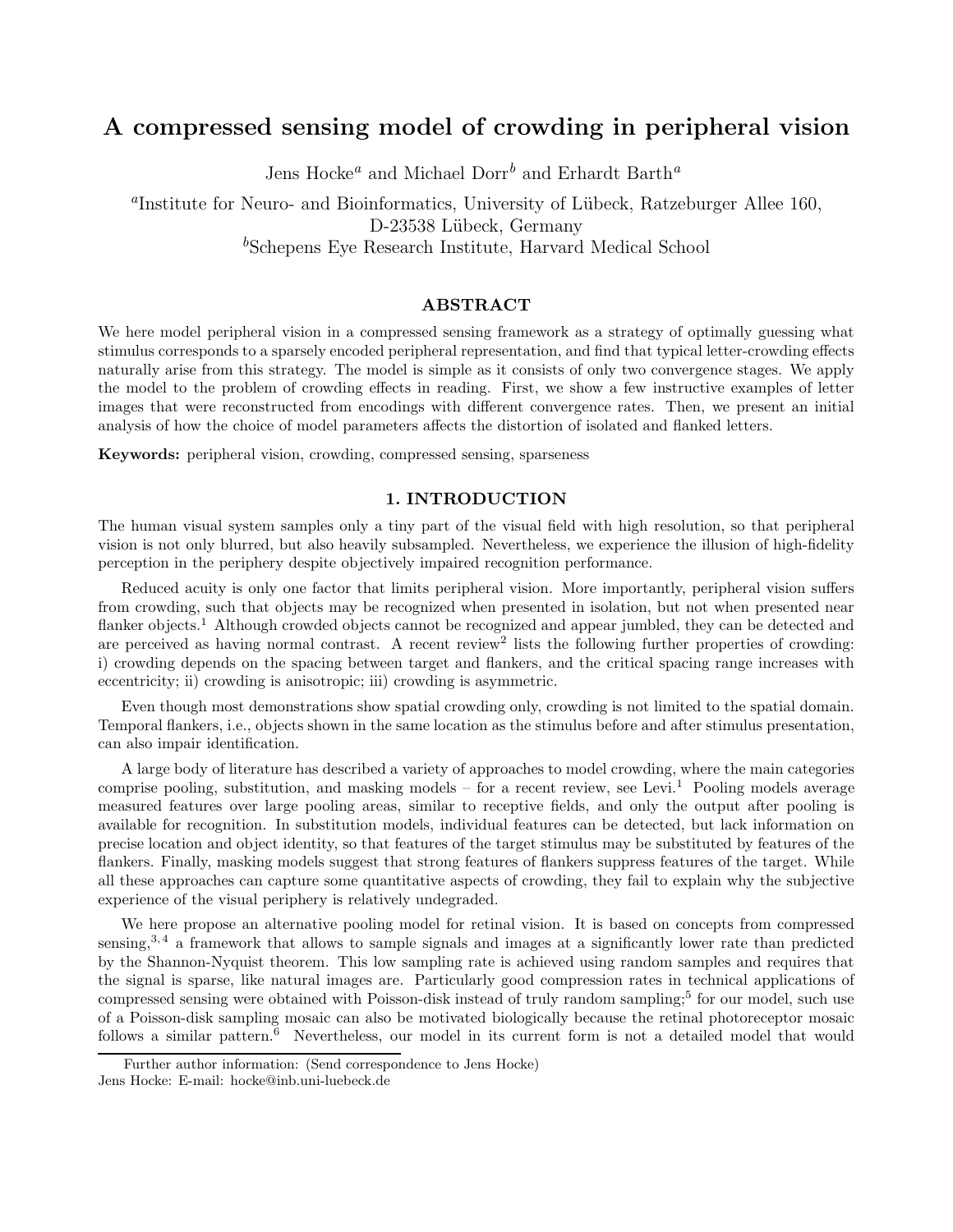# A compressed sensing model of crowding in peripheral vision

Jens Hocke<sup>a</sup> and Michael Dorr<sup>b</sup> and Erhardt Barth<sup>a</sup> <sup>a</sup>Institute for Neuro- and Bioinformatics, University of Lübeck, Ratzeburger Allee 160, D-23538 Lübeck, Germany <sup>b</sup>Schepens Eye Research Institute, Harvard Medical School

## ABSTRACT

We here model peripheral vision in a compressed sensing framework as a strategy of optimally guessing what stimulus corresponds to a sparsely encoded peripheral representation, and find that typical letter-crowding effects naturally arise from this strategy. The model is simple as it consists of only two convergence stages. We apply the model to the problem of crowding effects in reading. First, we show a few instructive examples of letter images that were reconstructed from encodings with different convergence rates. Then, we present an initial analysis of how the choice of model parameters affects the distortion of isolated and flanked letters.

Keywords: peripheral vision, crowding, compressed sensing, sparseness

## 1. INTRODUCTION

The human visual system samples only a tiny part of the visual field with high resolution, so that peripheral vision is not only blurred, but also heavily subsampled. Nevertheless, we experience the illusion of high-fidelity perception in the periphery despite objectively impaired recognition performance.

Reduced acuity is only one factor that limits peripheral vision. More importantly, peripheral vision suffers from crowding, such that objects may be recognized when presented in isolation, but not when presented near flanker objects.<sup>1</sup> Although crowded objects cannot be recognized and appear jumbled, they can be detected and are perceived as having normal contrast. A recent review<sup>2</sup> lists the following further properties of crowding: i) crowding depends on the spacing between target and flankers, and the critical spacing range increases with eccentricity; ii) crowding is anisotropic; iii) crowding is asymmetric.

Even though most demonstrations show spatial crowding only, crowding is not limited to the spatial domain. Temporal flankers, i.e., objects shown in the same location as the stimulus before and after stimulus presentation, can also impair identification.

A large body of literature has described a variety of approaches to model crowding, where the main categories comprise pooling, substitution, and masking models – for a recent review, see Levi.<sup>1</sup> Pooling models average measured features over large pooling areas, similar to receptive fields, and only the output after pooling is available for recognition. In substitution models, individual features can be detected, but lack information on precise location and object identity, so that features of the target stimulus may be substituted by features of the flankers. Finally, masking models suggest that strong features of flankers suppress features of the target. While all these approaches can capture some quantitative aspects of crowding, they fail to explain why the subjective experience of the visual periphery is relatively undegraded.

We here propose an alternative pooling model for retinal vision. It is based on concepts from compressed sensing,<sup>3,4</sup> a framework that allows to sample signals and images at a significantly lower rate than predicted by the Shannon-Nyquist theorem. This low sampling rate is achieved using random samples and requires that the signal is sparse, like natural images are. Particularly good compression rates in technical applications of compressed sensing were obtained with Poisson-disk instead of truly random sampling;<sup>5</sup> for our model, such use of a Poisson-disk sampling mosaic can also be motivated biologically because the retinal photoreceptor mosaic follows a similar pattern.<sup>6</sup> Nevertheless, our model in its current form is not a detailed model that would

Further author information: (Send correspondence to Jens Hocke) Jens Hocke: E-mail: hocke@inb.uni-luebeck.de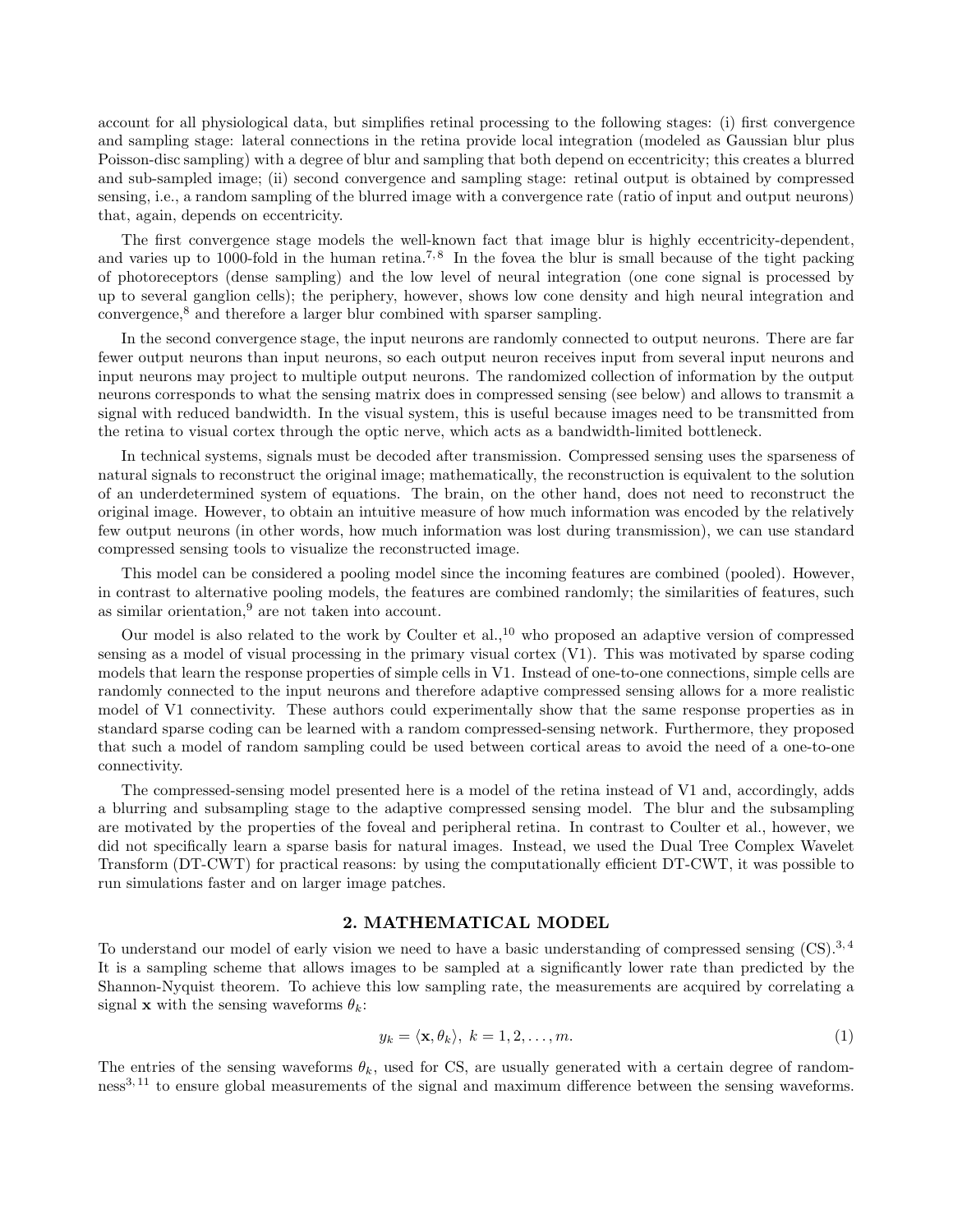account for all physiological data, but simplifies retinal processing to the following stages: (i) first convergence and sampling stage: lateral connections in the retina provide local integration (modeled as Gaussian blur plus Poisson-disc sampling) with a degree of blur and sampling that both depend on eccentricity; this creates a blurred and sub-sampled image; (ii) second convergence and sampling stage: retinal output is obtained by compressed sensing, i.e., a random sampling of the blurred image with a convergence rate (ratio of input and output neurons) that, again, depends on eccentricity.

The first convergence stage models the well-known fact that image blur is highly eccentricity-dependent, and varies up to 1000-fold in the human retina.<sup>7,8</sup> In the fovea the blur is small because of the tight packing of photoreceptors (dense sampling) and the low level of neural integration (one cone signal is processed by up to several ganglion cells); the periphery, however, shows low cone density and high neural integration and  $convergence<sub>6</sub><sup>8</sup>$  and therefore a larger blur combined with sparser sampling.

In the second convergence stage, the input neurons are randomly connected to output neurons. There are far fewer output neurons than input neurons, so each output neuron receives input from several input neurons and input neurons may project to multiple output neurons. The randomized collection of information by the output neurons corresponds to what the sensing matrix does in compressed sensing (see below) and allows to transmit a signal with reduced bandwidth. In the visual system, this is useful because images need to be transmitted from the retina to visual cortex through the optic nerve, which acts as a bandwidth-limited bottleneck.

In technical systems, signals must be decoded after transmission. Compressed sensing uses the sparseness of natural signals to reconstruct the original image; mathematically, the reconstruction is equivalent to the solution of an underdetermined system of equations. The brain, on the other hand, does not need to reconstruct the original image. However, to obtain an intuitive measure of how much information was encoded by the relatively few output neurons (in other words, how much information was lost during transmission), we can use standard compressed sensing tools to visualize the reconstructed image.

This model can be considered a pooling model since the incoming features are combined (pooled). However, in contrast to alternative pooling models, the features are combined randomly; the similarities of features, such as similar orientation, $9$  are not taken into account.

Our model is also related to the work by Coulter et al.,<sup>10</sup> who proposed an adaptive version of compressed sensing as a model of visual processing in the primary visual cortex (V1). This was motivated by sparse coding models that learn the response properties of simple cells in V1. Instead of one-to-one connections, simple cells are randomly connected to the input neurons and therefore adaptive compressed sensing allows for a more realistic model of V1 connectivity. These authors could experimentally show that the same response properties as in standard sparse coding can be learned with a random compressed-sensing network. Furthermore, they proposed that such a model of random sampling could be used between cortical areas to avoid the need of a one-to-one connectivity.

The compressed-sensing model presented here is a model of the retina instead of V1 and, accordingly, adds a blurring and subsampling stage to the adaptive compressed sensing model. The blur and the subsampling are motivated by the properties of the foveal and peripheral retina. In contrast to Coulter et al., however, we did not specifically learn a sparse basis for natural images. Instead, we used the Dual Tree Complex Wavelet Transform (DT-CWT) for practical reasons: by using the computationally efficient DT-CWT, it was possible to run simulations faster and on larger image patches.

# 2. MATHEMATICAL MODEL

To understand our model of early vision we need to have a basic understanding of compressed sensing  $(CS)^{3,4}$ It is a sampling scheme that allows images to be sampled at a significantly lower rate than predicted by the Shannon-Nyquist theorem. To achieve this low sampling rate, the measurements are acquired by correlating a signal **x** with the sensing waveforms  $\theta_k$ :

$$
y_k = \langle \mathbf{x}, \theta_k \rangle, \ k = 1, 2, \dots, m. \tag{1}
$$

The entries of the sensing waveforms  $\theta_k$ , used for CS, are usually generated with a certain degree of randomness3, 11 to ensure global measurements of the signal and maximum difference between the sensing waveforms.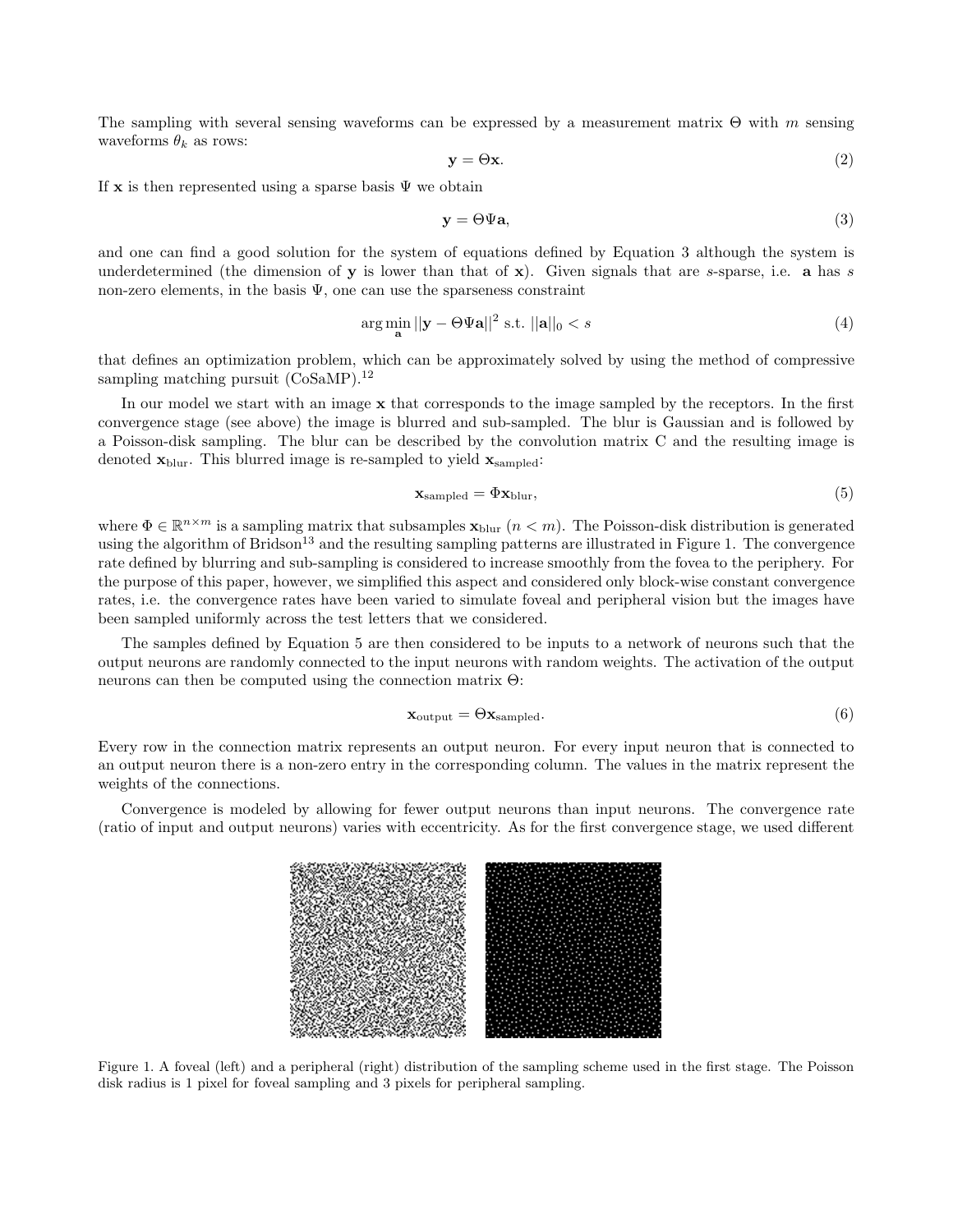The sampling with several sensing waveforms can be expressed by a measurement matrix  $\Theta$  with m sensing waveforms  $\theta_k$  as rows:

$$
y = \Theta x. \tag{2}
$$

If x is then represented using a sparse basis  $\Psi$  we obtain

$$
y = \Theta \Psi a,\tag{3}
$$

and one can find a good solution for the system of equations defined by Equation 3 although the system is underdetermined (the dimension of y is lower than that of  $x$ ). Given signals that are s-sparse, i.e. a has s non-zero elements, in the basis  $\Psi$ , one can use the sparseness constraint

$$
\arg\min_{\mathbf{a}} ||\mathbf{y} - \Theta \Psi \mathbf{a}||^2 \text{ s.t. } ||\mathbf{a}||_0 < s \tag{4}
$$

that defines an optimization problem, which can be approximately solved by using the method of compressive sampling matching pursuit  $(CoSaMP).<sup>12</sup>$ 

In our model we start with an image x that corresponds to the image sampled by the receptors. In the first convergence stage (see above) the image is blurred and sub-sampled. The blur is Gaussian and is followed by a Poisson-disk sampling. The blur can be described by the convolution matrix C and the resulting image is denoted  $\mathbf{x}_{\text{blur}}$ . This blurred image is re-sampled to yield  $\mathbf{x}_{\text{sampled}}$ :

$$
\mathbf{x}_{sampled} = \Phi \mathbf{x}_{blur},\tag{5}
$$

where  $\Phi \in \mathbb{R}^{n \times m}$  is a sampling matrix that subsamples  $\mathbf{x}_{\text{blur}}$   $(n < m)$ . The Poisson-disk distribution is generated using the algorithm of Bridson<sup>13</sup> and the resulting sampling patterns are illustrated in Figure 1. The convergence rate defined by blurring and sub-sampling is considered to increase smoothly from the fovea to the periphery. For the purpose of this paper, however, we simplified this aspect and considered only block-wise constant convergence rates, i.e. the convergence rates have been varied to simulate foveal and peripheral vision but the images have been sampled uniformly across the test letters that we considered.

The samples defined by Equation 5 are then considered to be inputs to a network of neurons such that the output neurons are randomly connected to the input neurons with random weights. The activation of the output neurons can then be computed using the connection matrix Θ:

$$
\mathbf{x}_{\text{output}} = \Theta \mathbf{x}_{\text{sampled}}.\tag{6}
$$

Every row in the connection matrix represents an output neuron. For every input neuron that is connected to an output neuron there is a non-zero entry in the corresponding column. The values in the matrix represent the weights of the connections.

Convergence is modeled by allowing for fewer output neurons than input neurons. The convergence rate (ratio of input and output neurons) varies with eccentricity. As for the first convergence stage, we used different



Figure 1. A foveal (left) and a peripheral (right) distribution of the sampling scheme used in the first stage. The Poisson disk radius is 1 pixel for foveal sampling and 3 pixels for peripheral sampling.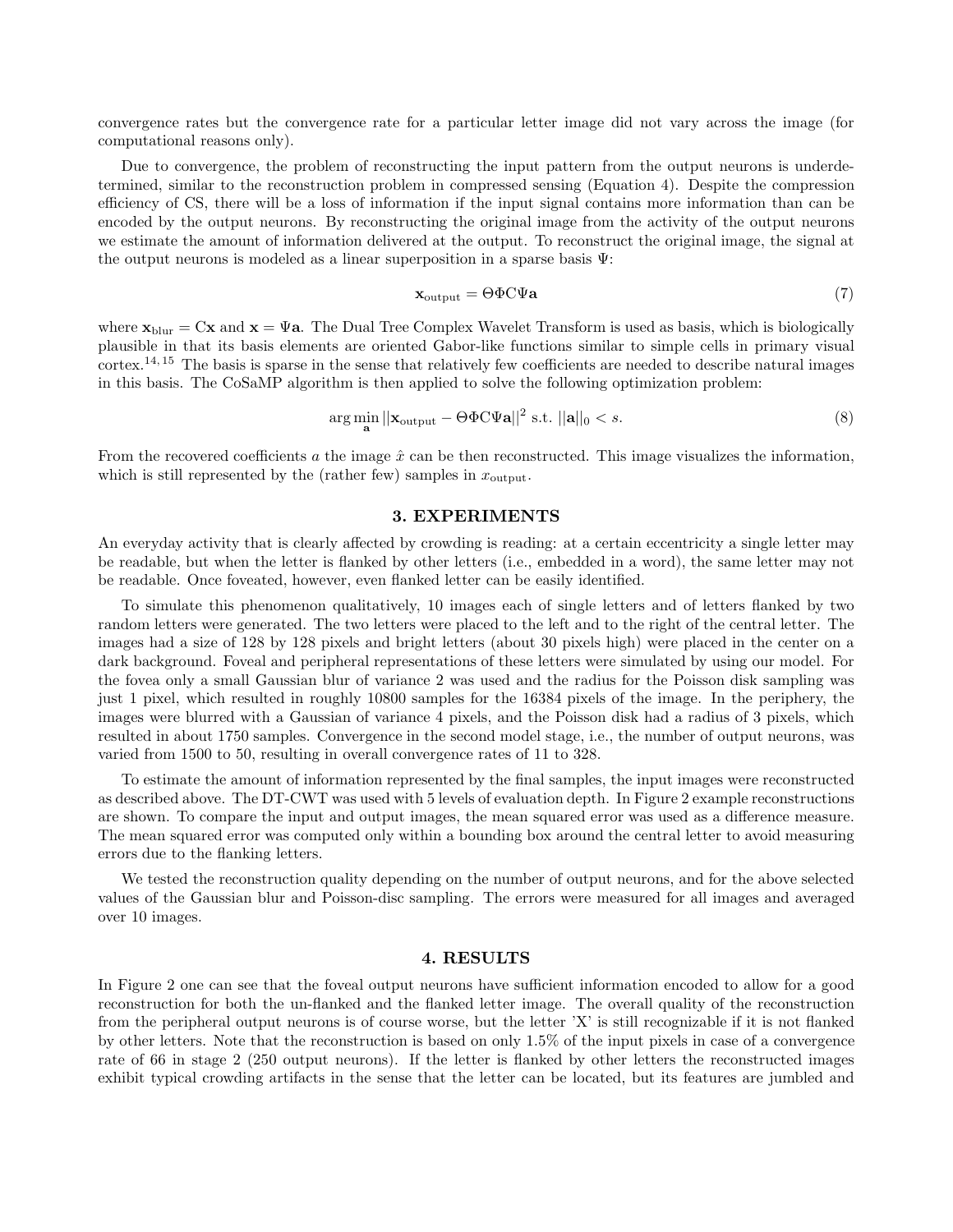convergence rates but the convergence rate for a particular letter image did not vary across the image (for computational reasons only).

Due to convergence, the problem of reconstructing the input pattern from the output neurons is underdetermined, similar to the reconstruction problem in compressed sensing (Equation 4). Despite the compression efficiency of CS, there will be a loss of information if the input signal contains more information than can be encoded by the output neurons. By reconstructing the original image from the activity of the output neurons we estimate the amount of information delivered at the output. To reconstruct the original image, the signal at the output neurons is modeled as a linear superposition in a sparse basis Ψ:

$$
\mathbf{x}_{\text{output}} = \Theta \Phi \mathbf{C} \Psi \mathbf{a} \tag{7}
$$

where  $\mathbf{x}_{\text{blur}} = \mathbf{Cx}$  and  $\mathbf{x} = \Psi \mathbf{a}$ . The Dual Tree Complex Wavelet Transform is used as basis, which is biologically plausible in that its basis elements are oriented Gabor-like functions similar to simple cells in primary visual  $\cot$ tex.<sup>14, 15</sup> The basis is sparse in the sense that relatively few coefficients are needed to describe natural images in this basis. The CoSaMP algorithm is then applied to solve the following optimization problem:

$$
\arg\min_{\mathbf{a}} ||\mathbf{x}_{\text{output}} - \Theta \Phi \mathbf{C} \Psi \mathbf{a}||^2 \text{ s.t. } ||\mathbf{a}||_0 < s. \tag{8}
$$

From the recovered coefficients a the image  $\hat{x}$  can be then reconstructed. This image visualizes the information, which is still represented by the (rather few) samples in  $x_{\text{output}}$ .

#### 3. EXPERIMENTS

An everyday activity that is clearly affected by crowding is reading: at a certain eccentricity a single letter may be readable, but when the letter is flanked by other letters (i.e., embedded in a word), the same letter may not be readable. Once foveated, however, even flanked letter can be easily identified.

To simulate this phenomenon qualitatively, 10 images each of single letters and of letters flanked by two random letters were generated. The two letters were placed to the left and to the right of the central letter. The images had a size of 128 by 128 pixels and bright letters (about 30 pixels high) were placed in the center on a dark background. Foveal and peripheral representations of these letters were simulated by using our model. For the fovea only a small Gaussian blur of variance 2 was used and the radius for the Poisson disk sampling was just 1 pixel, which resulted in roughly 10800 samples for the 16384 pixels of the image. In the periphery, the images were blurred with a Gaussian of variance 4 pixels, and the Poisson disk had a radius of 3 pixels, which resulted in about 1750 samples. Convergence in the second model stage, i.e., the number of output neurons, was varied from 1500 to 50, resulting in overall convergence rates of 11 to 328.

To estimate the amount of information represented by the final samples, the input images were reconstructed as described above. The DT-CWT was used with 5 levels of evaluation depth. In Figure 2 example reconstructions are shown. To compare the input and output images, the mean squared error was used as a difference measure. The mean squared error was computed only within a bounding box around the central letter to avoid measuring errors due to the flanking letters.

We tested the reconstruction quality depending on the number of output neurons, and for the above selected values of the Gaussian blur and Poisson-disc sampling. The errors were measured for all images and averaged over 10 images.

#### 4. RESULTS

In Figure 2 one can see that the foveal output neurons have sufficient information encoded to allow for a good reconstruction for both the un-flanked and the flanked letter image. The overall quality of the reconstruction from the peripheral output neurons is of course worse, but the letter 'X' is still recognizable if it is not flanked by other letters. Note that the reconstruction is based on only 1.5% of the input pixels in case of a convergence rate of 66 in stage 2 (250 output neurons). If the letter is flanked by other letters the reconstructed images exhibit typical crowding artifacts in the sense that the letter can be located, but its features are jumbled and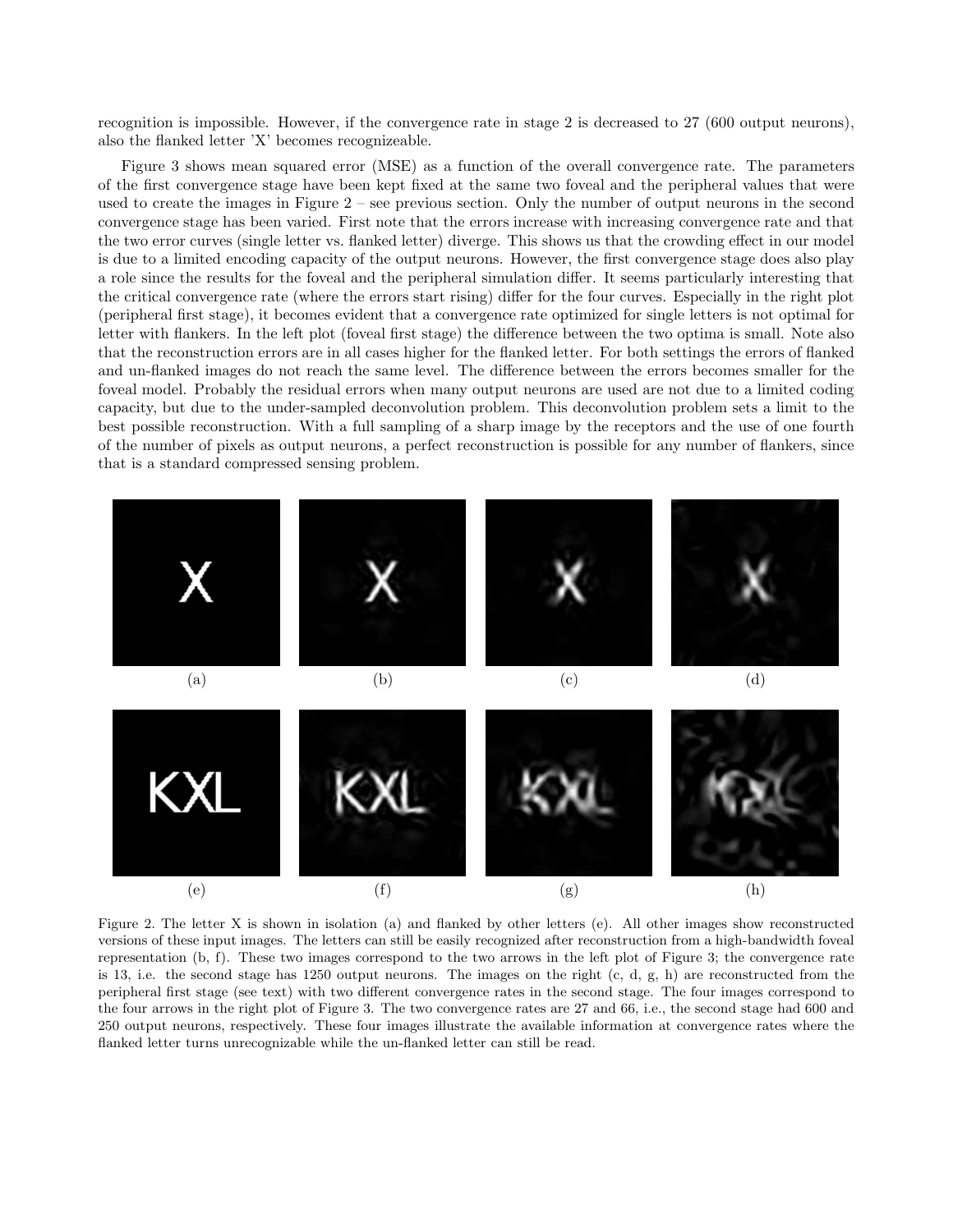recognition is impossible. However, if the convergence rate in stage 2 is decreased to 27 (600 output neurons), also the flanked letter 'X' becomes recognizeable.

Figure 3 shows mean squared error (MSE) as a function of the overall convergence rate. The parameters of the first convergence stage have been kept fixed at the same two foveal and the peripheral values that were used to create the images in Figure 2 – see previous section. Only the number of output neurons in the second convergence stage has been varied. First note that the errors increase with increasing convergence rate and that the two error curves (single letter vs. flanked letter) diverge. This shows us that the crowding effect in our model is due to a limited encoding capacity of the output neurons. However, the first convergence stage does also play a role since the results for the foveal and the peripheral simulation differ. It seems particularly interesting that the critical convergence rate (where the errors start rising) differ for the four curves. Especially in the right plot (peripheral first stage), it becomes evident that a convergence rate optimized for single letters is not optimal for letter with flankers. In the left plot (foveal first stage) the difference between the two optima is small. Note also that the reconstruction errors are in all cases higher for the flanked letter. For both settings the errors of flanked and un-flanked images do not reach the same level. The difference between the errors becomes smaller for the foveal model. Probably the residual errors when many output neurons are used are not due to a limited coding capacity, but due to the under-sampled deconvolution problem. This deconvolution problem sets a limit to the best possible reconstruction. With a full sampling of a sharp image by the receptors and the use of one fourth of the number of pixels as output neurons, a perfect reconstruction is possible for any number of flankers, since that is a standard compressed sensing problem.



Figure 2. The letter X is shown in isolation (a) and flanked by other letters (e). All other images show reconstructed versions of these input images. The letters can still be easily recognized after reconstruction from a high-bandwidth foveal representation (b, f). These two images correspond to the two arrows in the left plot of Figure 3; the convergence rate is 13, i.e. the second stage has 1250 output neurons. The images on the right (c, d, g, h) are reconstructed from the peripheral first stage (see text) with two different convergence rates in the second stage. The four images correspond to the four arrows in the right plot of Figure 3. The two convergence rates are 27 and 66, i.e., the second stage had 600 and 250 output neurons, respectively. These four images illustrate the available information at convergence rates where the flanked letter turns unrecognizable while the un-flanked letter can still be read.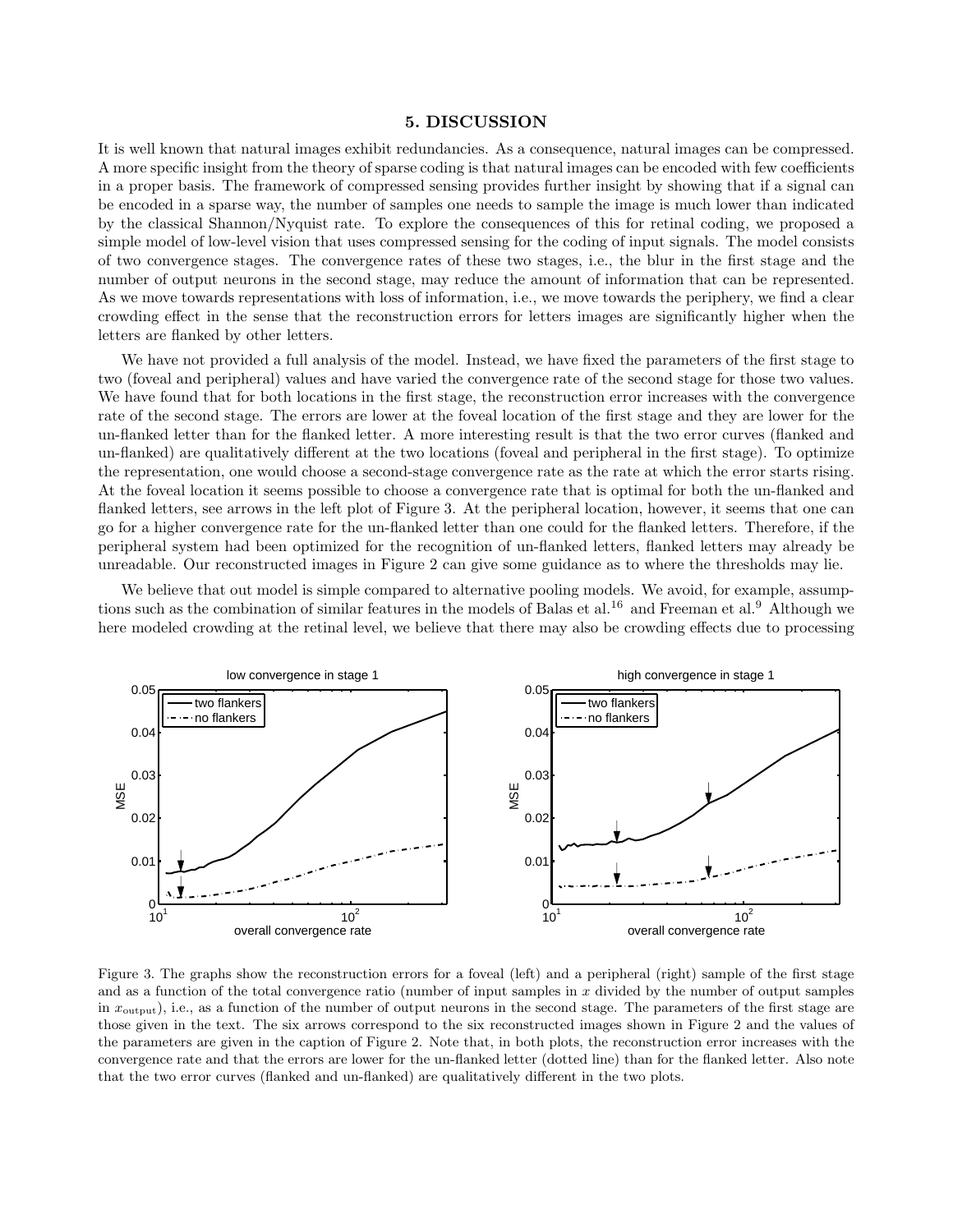#### 5. DISCUSSION

It is well known that natural images exhibit redundancies. As a consequence, natural images can be compressed. A more specific insight from the theory of sparse coding is that natural images can be encoded with few coefficients in a proper basis. The framework of compressed sensing provides further insight by showing that if a signal can be encoded in a sparse way, the number of samples one needs to sample the image is much lower than indicated by the classical Shannon/Nyquist rate. To explore the consequences of this for retinal coding, we proposed a simple model of low-level vision that uses compressed sensing for the coding of input signals. The model consists of two convergence stages. The convergence rates of these two stages, i.e., the blur in the first stage and the number of output neurons in the second stage, may reduce the amount of information that can be represented. As we move towards representations with loss of information, i.e., we move towards the periphery, we find a clear crowding effect in the sense that the reconstruction errors for letters images are significantly higher when the letters are flanked by other letters.

We have not provided a full analysis of the model. Instead, we have fixed the parameters of the first stage to two (foveal and peripheral) values and have varied the convergence rate of the second stage for those two values. We have found that for both locations in the first stage, the reconstruction error increases with the convergence rate of the second stage. The errors are lower at the foveal location of the first stage and they are lower for the un-flanked letter than for the flanked letter. A more interesting result is that the two error curves (flanked and un-flanked) are qualitatively different at the two locations (foveal and peripheral in the first stage). To optimize the representation, one would choose a second-stage convergence rate as the rate at which the error starts rising. At the foveal location it seems possible to choose a convergence rate that is optimal for both the un-flanked and flanked letters, see arrows in the left plot of Figure 3. At the peripheral location, however, it seems that one can go for a higher convergence rate for the un-flanked letter than one could for the flanked letters. Therefore, if the peripheral system had been optimized for the recognition of un-flanked letters, flanked letters may already be unreadable. Our reconstructed images in Figure 2 can give some guidance as to where the thresholds may lie.

We believe that out model is simple compared to alternative pooling models. We avoid, for example, assumptions such as the combination of similar features in the models of Balas et al.<sup>16</sup> and Freeman et al.<sup>9</sup> Although we here modeled crowding at the retinal level, we believe that there may also be crowding effects due to processing



Figure 3. The graphs show the reconstruction errors for a foveal (left) and a peripheral (right) sample of the first stage and as a function of the total convergence ratio (number of input samples in  $x$  divided by the number of output samples in  $x_{\text{output}}$ , i.e., as a function of the number of output neurons in the second stage. The parameters of the first stage are those given in the text. The six arrows correspond to the six reconstructed images shown in Figure 2 and the values of the parameters are given in the caption of Figure 2. Note that, in both plots, the reconstruction error increases with the convergence rate and that the errors are lower for the un-flanked letter (dotted line) than for the flanked letter. Also note that the two error curves (flanked and un-flanked) are qualitatively different in the two plots.